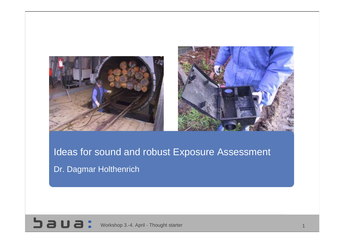



# Ideas for sound and robust Exposure Assessment Dr. Dagmar Holthenrich

**D D D :** Workshop 3.-4. April - Thought starter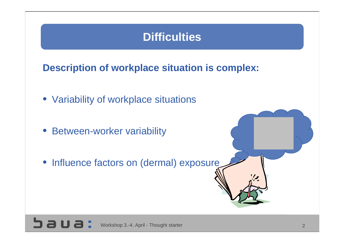### **Difficulties**

**Description of workplace situation is complex:**

- Variability of workplace situations
- Between-worker variability
- Influence factors on (dermal) exposure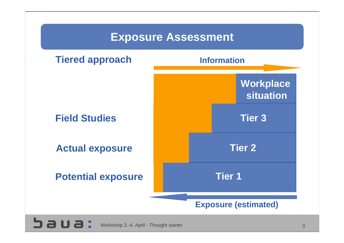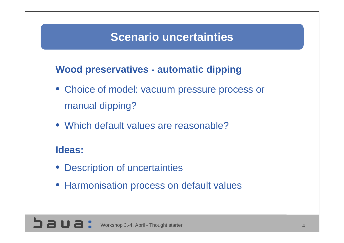### **Scenario uncertainties**

### **Wood preservatives - automatic dipping**

- Choice of model: vacuum pressure process or manual dipping?
- Which default values are reasonable?

#### **Ideas:**

- Description of uncertainties
- Harmonisation process on default values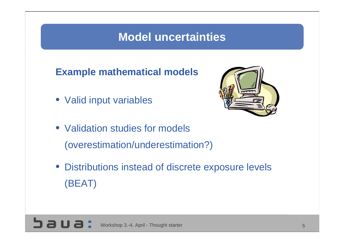### **Model uncertainties**

**Example mathematical models**

• Valid input variables



- Validation studies for models (overestimation/underestimation?)
- Distributions instead of discrete exposure levels (BEAT)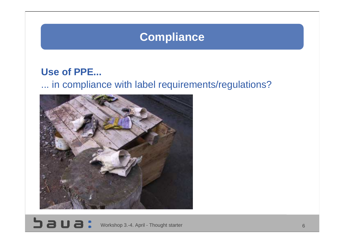### **Compliance**

#### **Use of PPE...**

#### ... in compliance with label requirements/regulations?

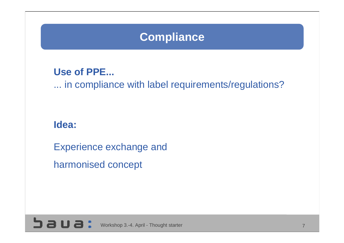## **Compliance**

#### **Use of PPE...**

... in compliance with label requirements/regulations?

#### **Idea:**

Experience exchange and harmonised concept

Workshop 3.-4. April - Thought starter 7 and 7 and 7 and 7 and 7 and 7 and 7 and 7 and 7 and 7 and 7 and 7 and 7 and 7 and 7 and 7 and 7 and 7 and 7 and 7 and 7 and 7 and 7 and 7 and 7 and 7 and 7 and 7 and 7 and 7 and 7 a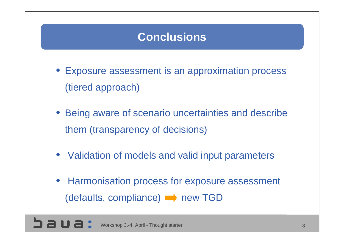### **Conclusions**

- Exposure assessment is an approximation process (tiered approach)
- Being aware of scenario uncertainties and describe them (transparency of decisions)
- Validation of models and valid input parameters
- Harmonisation process for exposure assessment (defaults, compliance) **new TGD**